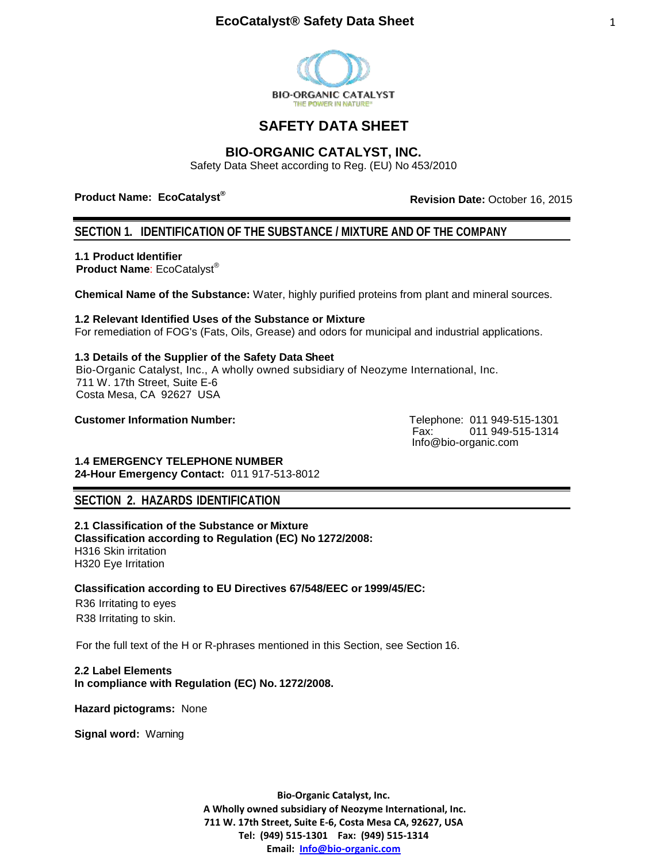

# **SAFETY DATA SHEET**

 $\overline{a}$ 

## **BIO-ORGANIC CATALYST, INC.**

Safety Data Sheet according to Reg. (EU) No 453/2010

**Product Name: EcoCatalyst®** 

**Revision Date:** October 16, 2015

## **SECTION 1. IDENTIFICATION OF THE SUBSTANCE / MIXTURE AND OF THE COMPANY**

**1.1 Product Identifier**

 **Product Name**: EcoCatalyst®

**Chemical Name of the Substance:** Water, highly purified proteins from plant and mineral sources.

**1.2 Relevant Identified Uses of the Substance or Mixture** For remediation of FOG's (Fats, Oils, Grease) and odors for municipal and industrial applications.

**1.3 Details of the Supplier of the Safety Data Sheet** Bio-Organic Catalyst, Inc., A wholly owned subsidiary of Neozyme International, Inc. 711 W. 17th Street, Suite E-6 Costa Mesa, CA 92627 USA

**Customer Information Number:** Telephone: 011 949-515-1301

Fax: 011 949-515-1314 Info@bio-organic.com

**1.4 EMERGENCY TELEPHONE NUMBER 24-Hour Emergency Contact:** 011 917-513-8012

## **SECTION 2. HAZARDS IDENTIFICATION**

**2.1 Classification of the Substance or Mixture Classification according to Regulation (EC) No 1272/2008:** H316 Skin irritation H320 Eye Irritation

**Classification according to EU Directives 67/548/EEC or 1999/45/EC:**

 R36 Irritating to eyes R38 Irritating to skin.

For the full text of the H or R-phrases mentioned in this Section, see Section 16.

**2.2 Label Elements In compliance with Regulation (EC) No. 1272/2008.**

**Hazard pictograms:** None

**Signal word:** Warning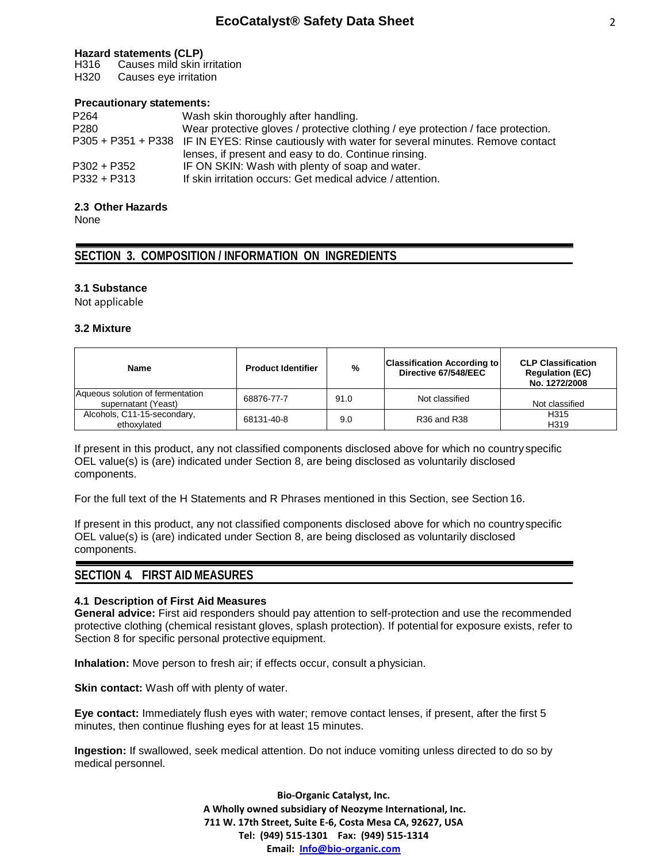#### **Hazard statements (CLP)**

H316 Causes mild skin irritation

H320 Causes eye irritation

#### **Precautionary statements:**

| P <sub>264</sub> | Wash skin thoroughly after handling.                                                           |
|------------------|------------------------------------------------------------------------------------------------|
| P <sub>280</sub> | Wear protective gloves / protective clothing / eye protection / face protection.               |
|                  | P305 + P351 + P338 IF IN EYES: Rinse cautiously with water for several minutes. Remove contact |
|                  | lenses, if present and easy to do. Continue rinsing.                                           |
| $P302 + P352$    | IF ON SKIN: Wash with plenty of soap and water.                                                |
| $P332 + P313$    | If skin irritation occurs: Get medical advice / attention.                                     |

### **2.3 Other Hazards**

None

## **SECTION 3. COMPOSITION / INFORMATION ON INGREDIENTS**

### **3.1 Substance**

Not applicable

#### **3.2 Mixture**

| <b>Name</b>                                             | <b>Product Identifier</b> | %    | <b>Classification According to</b><br>Directive 67/548/EEC | <b>CLP Classification</b><br><b>Regulation (EC)</b><br>No. 1272/2008 |
|---------------------------------------------------------|---------------------------|------|------------------------------------------------------------|----------------------------------------------------------------------|
| Aqueous solution of fermentation<br>supernatant (Yeast) | 68876-77-7                | 91.0 | Not classified                                             | Not classified                                                       |
| Alcohols, C11-15-secondary,<br>ethoxylated              | 68131-40-8                | 9.0  | <b>R36 and R38</b>                                         | H315<br>H <sub>319</sub>                                             |

If present in this product, any not classified components disclosed above for which no country specific OEL value(s) is (are) indicated under Section 8, are being disclosed as voluntarily disclosed components.

For the full text of the H Statements and R Phrases mentioned in this Section, see Section 16.

If present in this product, any not classified components disclosed above for which no countryspecific OEL value(s) is (are) indicated under Section 8, are being disclosed as voluntarily disclosed components.

### **SECTION 4. FIRST AID MEASURES**

#### **4.1 Description of First Aid Measures**

**General advice:** First aid responders should pay attention to self-protection and use the recommended protective clothing (chemical resistant gloves, splash protection). If potential for exposure exists, refer to Section 8 for specific personal protective equipment.

**Inhalation:** Move person to fresh air; if effects occur, consult a physician.

**Skin contact:** Wash off with plenty of water.

**Eye contact:** Immediately flush eyes with water; remove contact lenses, if present, after the first 5 minutes, then continue flushing eyes for at least 15 minutes.

**Ingestion:** If swallowed, seek medical attention. Do not induce vomiting unless directed to do so by medical personnel.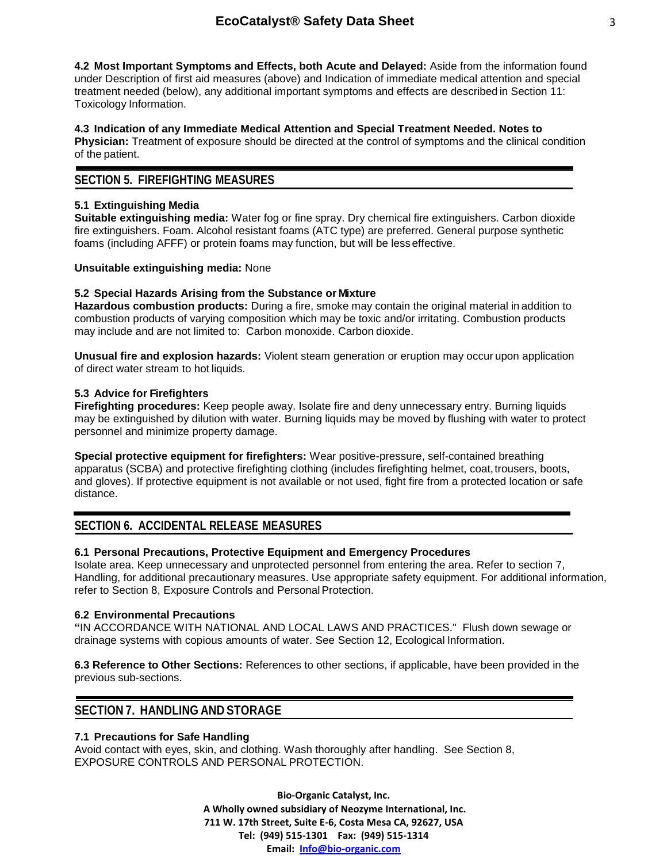**4.2 Most Important Symptoms and Effects, both Acute and Delayed:** Aside from the information found under Description of first aid measures (above) and Indication of immediate medical attention and special treatment needed (below), any additional important symptoms and effects are described in Section 11: Toxicology Information.

### **4.3 Indication of any Immediate Medical Attention and Special Treatment Needed. Notes to**

**Physician:** Treatment of exposure should be directed at the control of symptoms and the clinical condition of the patient.

### **SECTION 5. FIREFIGHTING MEASURES**

### **5.1 Extinguishing Media**

**Suitable extinguishing media:** Water fog or fine spray. Dry chemical fire extinguishers. Carbon dioxide fire extinguishers. Foam. Alcohol resistant foams (ATC type) are preferred. General purpose synthetic foams (including AFFF) or protein foams may function, but will be less effective.

#### **Unsuitable extinguishing media:** None

### **5.2 Special Hazards Arising from the Substance or Mixture**

**Hazardous combustion products:** During a fire, smoke may contain the original material in addition to combustion products of varying composition which may be toxic and/or irritating. Combustion products may include and are not limited to: Carbon monoxide. Carbon dioxide.

**Unusual fire and explosion hazards:** Violent steam generation or eruption may occur upon application of direct water stream to hot liquids.

#### **5.3 Advice for Firefighters**

**Firefighting procedures:** Keep people away. Isolate fire and deny unnecessary entry. Burning liquids may be extinguished by dilution with water. Burning liquids may be moved by flushing with water to protect personnel and minimize property damage.

**Special protective equipment for firefighters:** Wear positive-pressure, self-contained breathing apparatus (SCBA) and protective firefighting clothing (includes firefighting helmet, coat, trousers, boots, and gloves). If protective equipment is not available or not used, fight fire from a protected location or safe distance.

## **SECTION 6. ACCIDENTAL RELEASE MEASURES**

### **6.1 Personal Precautions, Protective Equipment and Emergency Procedures**

Isolate area. Keep unnecessary and unprotected personnel from entering the area. Refer to section 7, Handling, for additional precautionary measures. Use appropriate safety equipment. For additional information, refer to Section 8, Exposure Controls and Personal Protection.

#### **6.2 Environmental Precautions**

**"**IN ACCORDANCE WITH NATIONAL AND LOCAL LAWS AND PRACTICES." Flush down sewage or drainage systems with copious amounts of water. See Section 12, Ecological Information.

**6.3 Reference to Other Sections:** References to other sections, if applicable, have been provided in the previous sub-sections.

## **SECTION 7. HANDLING AND STORAGE**

#### **7.1 Precautions for Safe Handling**

Avoid contact with eyes, skin, and clothing. Wash thoroughly after handling. See Section 8, EXPOSURE CONTROLS AND PERSONAL PROTECTION.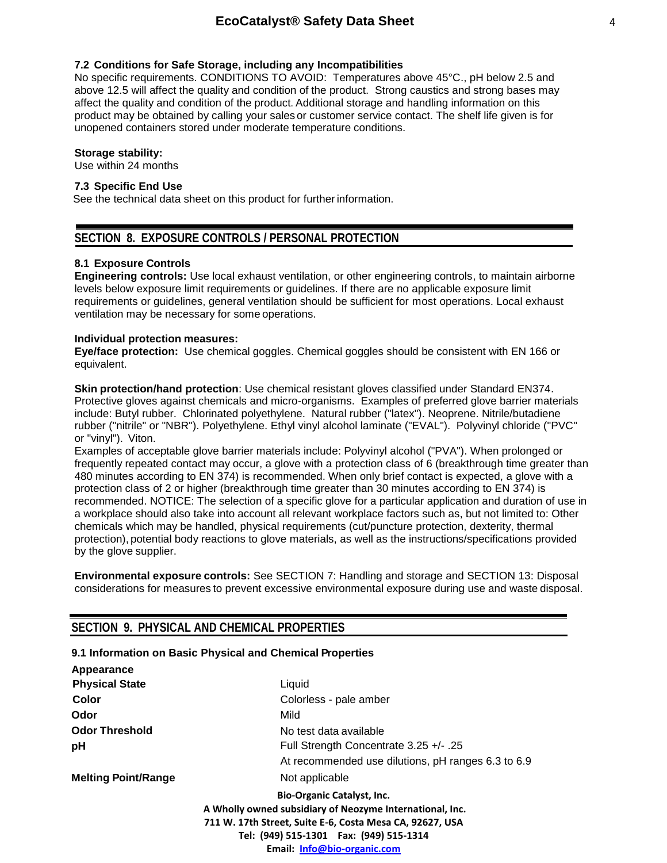#### **7.2 Conditions for Safe Storage, including any Incompatibilities**

No specific requirements. CONDITIONS TO AVOID: Temperatures above 45°C., pH below 2.5 and above 12.5 will affect the quality and condition of the product. Strong caustics and strong bases may affect the quality and condition of the product. Additional storage and handling information on this product may be obtained by calling your sales or customer service contact. The shelf life given is for unopened containers stored under moderate temperature conditions.

### **Storage stability:**

Use within 24 months

#### Storage **7.3 Specific End Use**

See the technical data sheet on this product for further information.

### **SECTION 8. EXPOSURE CONTROLS / PERSONAL PROTECTION**

#### **8.1 Exposure Controls**

**Engineering controls:** Use local exhaust ventilation, or other engineering controls, to maintain airborne levels below exposure limit requirements or guidelines. If there are no applicable exposure limit requirements or guidelines, general ventilation should be sufficient for most operations. Local exhaust ventilation may be necessary for some operations.

#### **Individual protection measures:**

**Eye/face protection:** Use chemical goggles. Chemical goggles should be consistent with EN 166 or equivalent.

**Skin protection/hand protection**: Use chemical resistant gloves classified under Standard EN374. Protective gloves against chemicals and micro-organisms. Examples of preferred glove barrier materials include: Butyl rubber. Chlorinated polyethylene. Natural rubber ("latex"). Neoprene. Nitrile/butadiene rubber ("nitrile" or "NBR"). Polyethylene. Ethyl vinyl alcohol laminate ("EVAL"). Polyvinyl chloride ("PVC" or "vinyl"). Viton.

Examples of acceptable glove barrier materials include: Polyvinyl alcohol ("PVA"). When prolonged or frequently repeated contact may occur, a glove with a protection class of 6 (breakthrough time greater than 480 minutes according to EN 374) is recommended. When only brief contact is expected, a glove with a protection class of 2 or higher (breakthrough time greater than 30 minutes according to EN 374) is recommended. NOTICE: The selection of a specific glove for a particular application and duration of use in a workplace should also take into account all relevant workplace factors such as, but not limited to: Other chemicals which may be handled, physical requirements (cut/puncture protection, dexterity, thermal protection), potential body reactions to glove materials, as well as the instructions/specifications provided by the glove supplier.

**Environmental exposure controls:** See SECTION 7: Handling and storage and SECTION 13: Disposal considerations for measures to prevent excessive environmental exposure during use and waste disposal.

### **SECTION 9. PHYSICAL AND CHEMICAL PROPERTIES**

#### **9.1 Information on Basic Physical and Chemical Properties**

| Appearance                                               |                                                    |  |  |  |  |  |
|----------------------------------------------------------|----------------------------------------------------|--|--|--|--|--|
| <b>Physical State</b>                                    | Liquid                                             |  |  |  |  |  |
| Color                                                    | Colorless - pale amber                             |  |  |  |  |  |
| Odor                                                     | Mild                                               |  |  |  |  |  |
| <b>Odor Threshold</b>                                    | No test data available                             |  |  |  |  |  |
| pH                                                       | Full Strength Concentrate 3.25 +/- .25             |  |  |  |  |  |
|                                                          | At recommended use dilutions, pH ranges 6.3 to 6.9 |  |  |  |  |  |
| <b>Melting Point/Range</b>                               | Not applicable                                     |  |  |  |  |  |
|                                                          | <b>Bio-Organic Catalyst, Inc.</b>                  |  |  |  |  |  |
| A Wholly owned subsidiary of Neozyme International, Inc. |                                                    |  |  |  |  |  |
| 711 W. 17th Street, Suite E-6, Costa Mesa CA, 92627, USA |                                                    |  |  |  |  |  |
|                                                          | Tel: (949) 515-1301  Fax: (949) 515-1314           |  |  |  |  |  |
|                                                          | Email: Info@bio-organic.com                        |  |  |  |  |  |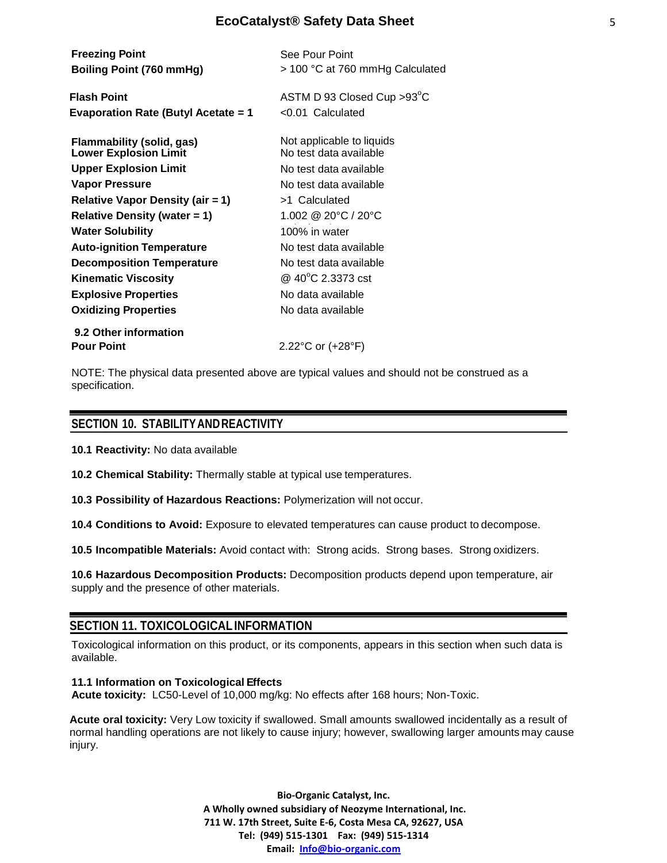| <b>Freezing Point</b><br>Boiling Point (760 mmHg)                | See Pour Point<br>> 100 °C at 760 mmHg Calculated   |
|------------------------------------------------------------------|-----------------------------------------------------|
| <b>Flash Point</b><br><b>Evaporation Rate (Butyl Acetate = 1</b> | ASTM D 93 Closed Cup > 93°C<br>$< 0.01$ Calculated  |
| <b>Flammability (solid, gas)</b><br><b>Lower Explosion Limit</b> | Not applicable to liquids<br>No test data available |
| <b>Upper Explosion Limit</b>                                     | No test data available                              |
| Vapor Pressure                                                   | No test data available                              |
| <b>Relative Vapor Density (air = 1)</b>                          | >1 Calculated                                       |
| Relative Density (water $= 1$ )                                  | 1.002 @ 20 $^{\circ}$ C / 20 $^{\circ}$ C           |
| <b>Water Solubility</b>                                          | 100% in water                                       |
| <b>Auto-ignition Temperature</b>                                 | No test data available                              |
| <b>Decomposition Temperature</b>                                 | No test data available                              |
| <b>Kinematic Viscosity</b>                                       | @ $40^{\circ}$ C 2.3373 cst                         |
| <b>Explosive Properties</b>                                      | No data available                                   |
| <b>Oxidizing Properties</b>                                      | No data available                                   |
| 9.2 Other information                                            |                                                     |
| <b>Pour Point</b>                                                | 2.22°C or (+28°F)                                   |

NOTE: The physical data presented above are typical values and should not be construed as a specification.

### **SECTION 10. STABILITYANDREACTIVITY**

**10.1 Reactivity:** No data available

**10.2 Chemical Stability:** Thermally stable at typical use temperatures.

**10.3 Possibility of Hazardous Reactions:** Polymerization will not occur.

**10.4 Conditions to Avoid:** Exposure to elevated temperatures can cause product to decompose.

**10.5 Incompatible Materials:** Avoid contact with: Strong acids. Strong bases. Strong oxidizers.

**10.6 Hazardous Decomposition Products:** Decomposition products depend upon temperature, air supply and the presence of other materials.

## **SECTION 11. TOXICOLOGICAL INFORMATION**

Toxicological information on this product, or its components, appears in this section when such data is available.

#### **11.1 Information on Toxicological Effects**

**Acute toxicity:** LC50-Level of 10,000 mg/kg: No effects after 168 hours; Non-Toxic.

**Acute oral toxicity:** Very Low toxicity if swallowed. Small amounts swallowed incidentally as a result of normal handling operations are not likely to cause injury; however, swallowing larger amounts may cause injury.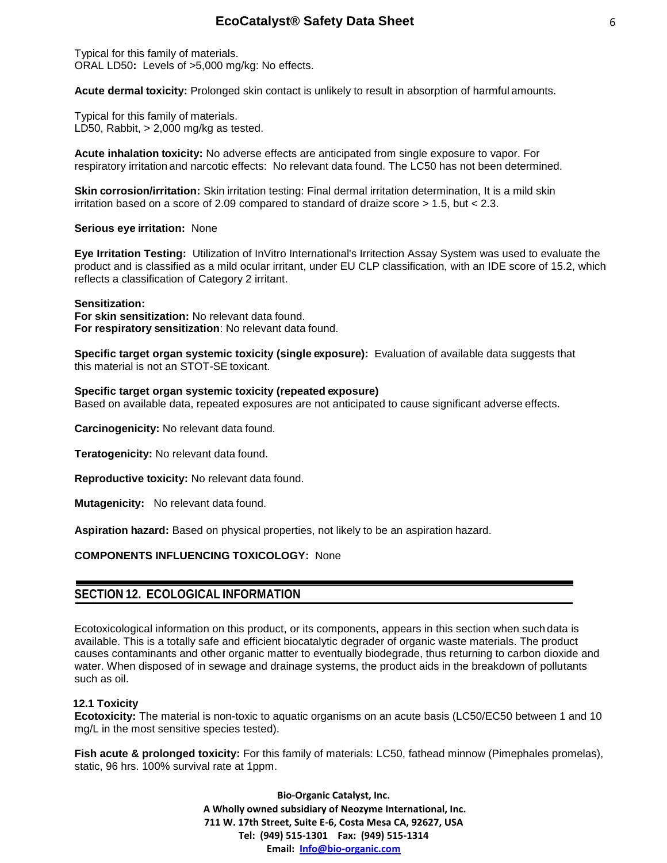Typical for this family of materials. ORAL LD50**:** Levels of >5,000 mg/kg: No effects.

**Acute dermal toxicity:** Prolonged skin contact is unlikely to result in absorption of harmful amounts.

Typical for this family of materials. LD50, Rabbit,  $> 2,000$  mg/kg as tested.

**Acute inhalation toxicity:** No adverse effects are anticipated from single exposure to vapor. For respiratory irritation and narcotic effects: No relevant data found. The LC50 has not been determined.

**Skin corrosion/irritation:** Skin irritation testing: Final dermal irritation determination, It is a mild skin irritation based on a score of 2.09 compared to standard of draize score  $> 1.5$ , but  $< 2.3$ .

**Serious eye irritation:** None

**Eye Irritation Testing:** Utilization of InVitro International's Irritection Assay System was used to evaluate the product and is classified as a mild ocular irritant, under EU CLP classification, with an IDE score of 15.2, which reflects a classification of Category 2 irritant.

#### **Sensitization:**

**For skin sensitization:** No relevant data found. **For respiratory sensitization**: No relevant data found.

**Specific target organ systemic toxicity (single exposure):** Evaluation of available data suggests that this material is not an STOT-SE toxicant.

#### **Specific target organ systemic toxicity (repeated exposure)**

Based on available data, repeated exposures are not anticipated to cause significant adverse effects.

**Carcinogenicity:** No relevant data found.

**Teratogenicity:** No relevant data found.

**Reproductive toxicity:** No relevant data found.

**Mutagenicity:** No relevant data found.

**Aspiration hazard:** Based on physical properties, not likely to be an aspiration hazard.

### **COMPONENTS INFLUENCING TOXICOLOGY:** None

### **SECTION 12. ECOLOGICAL INFORMATION**

Ecotoxicological information on this product, or its components, appears in this section when such data is available. This is a totally safe and efficient biocatalytic degrader of organic waste materials. The product causes contaminants and other organic matter to eventually biodegrade, thus returning to carbon dioxide and water. When disposed of in sewage and drainage systems, the product aids in the breakdown of pollutants such as oil.

#### **12.1 Toxicity**

**Ecotoxicity:** The material is non-toxic to aquatic organisms on an acute basis (LC50/EC50 between 1 and 10 mg/L in the most sensitive species tested).

**Fish acute & prolonged toxicity:** For this family of materials: LC50, fathead minnow (Pimephales promelas), static, 96 hrs. 100% survival rate at 1ppm.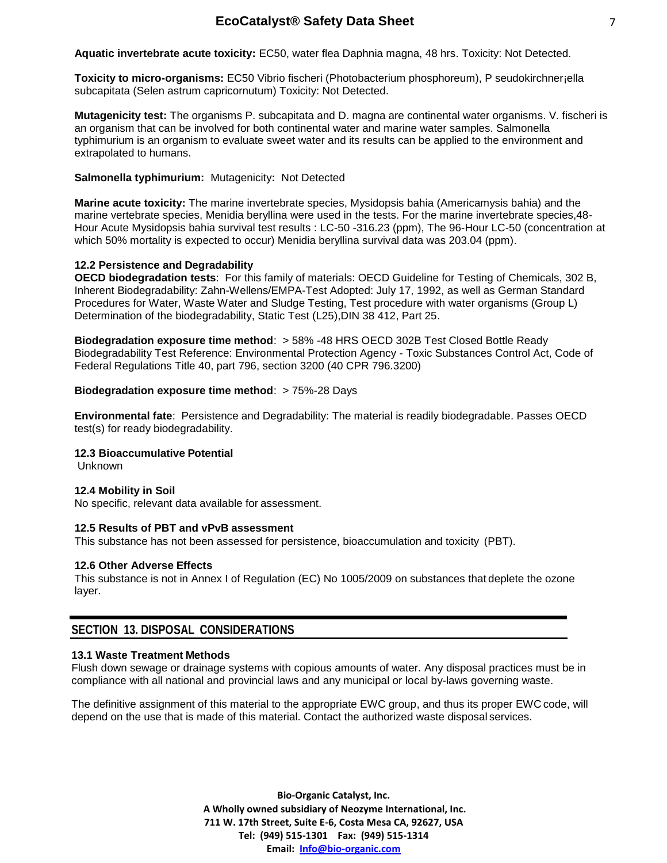**Aquatic invertebrate acute toxicity:** EC50, water flea Daphnia magna, 48 hrs. Toxicity: Not Detected.

**Toxicity to micro-organisms:** EC50 Vibrio fischeri (Photobacterium phosphoreum), P seudokirchner¡ella subcapitata (Selen astrum capricornutum) Toxicity: Not Detected.

**Mutagenicity test:** The organisms P. subcapitata and D. magna are continental water organisms. V. fischeri is an organism that can be involved for both continental water and marine water samples. Salmonella typhimurium is an organism to evaluate sweet water and its results can be applied to the environment and extrapolated to humans.

### **Salmonella typhimurium:** Mutagenicity**:** Not Detected

**Marine acute toxicity:** The marine invertebrate species, Mysidopsis bahia (Americamysis bahia) and the marine vertebrate species, Menidia beryllina were used in the tests. For the marine invertebrate species,48- Hour Acute Mysidopsis bahia survival test results : LC-50 -316.23 (ppm), The 96-Hour LC-50 (concentration at which 50% mortality is expected to occur) Menidia beryllina survival data was 203.04 (ppm).

### **12.2 Persistence and Degradability**

**OECD biodegradation tests**: For this family of materials: OECD Guideline for Testing of Chemicals, 302 B, Inherent Biodegradability: Zahn-Wellens/EMPA-Test Adopted: July 17, 1992, as well as German Standard Procedures for Water, Waste Water and Sludge Testing, Test procedure with water organisms (Group L) Determination of the biodegradability, Static Test (L25), DIN 38 412, Part 25.

**Biodegradation exposure time method**: > 58% -48 HRS OECD 302B Test Closed Bottle Ready Biodegradability Test Reference: Environmental Protection Agency - Toxic Substances Control Act, Code of Federal Regulations Title 40, part 796, section 3200 (40 CPR 796.3200)

#### **Biodegradation exposure time method: > 75%-28 Days**

**Environmental fate**: Persistence and Degradability: The material is readily biodegradable. Passes OECD test(s) for ready biodegradability.

#### **12.3 Bioaccumulative Potential**

Unknown

#### **12.4 Mobility in Soil**

No specific, relevant data available for assessment.

#### **12.5 Results of PBT and vPvB assessment**

This substance has not been assessed for persistence, bioaccumulation and toxicity (PBT).

#### **12.6 Other Adverse Effects**

This substance is not in Annex I of Regulation (EC) No 1005/2009 on substances that deplete the ozone layer.

## **SECTION 13. DISPOSAL CONSIDERATIONS**

#### **13.1 Waste Treatment Methods**

Flush down sewage or drainage systems with copious amounts of water. Any disposal practices must be in compliance with all national and provincial laws and any municipal or local by-laws governing waste.

The definitive assignment of this material to the appropriate EWC group, and thus its proper EWC code, will depend on the use that is made of this material. Contact the authorized waste disposal services.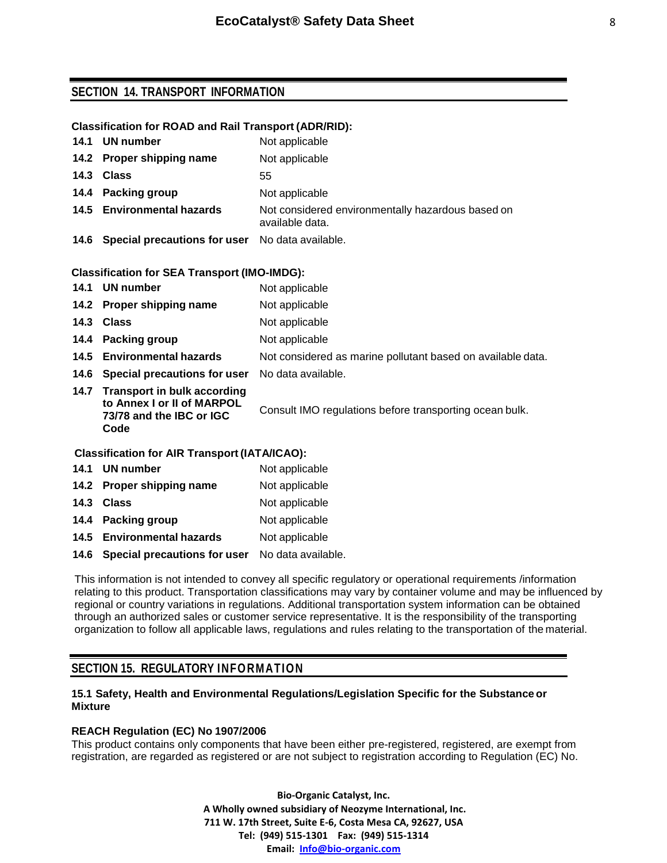## **SECTION 14. TRANSPORT INFORMATION**

#### **Classification for ROAD and Rail Transport (ADR/RID):**

| 14.1 | <b>UN number</b>                                    | Not applicable                                                       |  |  |  |  |  |
|------|-----------------------------------------------------|----------------------------------------------------------------------|--|--|--|--|--|
|      | 14.2 Proper shipping name                           | Not applicable                                                       |  |  |  |  |  |
|      | 14.3 Class                                          | 55                                                                   |  |  |  |  |  |
|      | 14.4 Packing group                                  | Not applicable                                                       |  |  |  |  |  |
|      | 14.5 Environmental hazards                          | Not considered environmentally hazardous based on<br>available data. |  |  |  |  |  |
|      | 14.6 Special precautions for user                   | No data available.                                                   |  |  |  |  |  |
|      | <b>Classification for SEA Transport (IMO-IMDG):</b> |                                                                      |  |  |  |  |  |
|      | 14.1 UN number                                      | Not applicable                                                       |  |  |  |  |  |
|      | 14.2 Proper shipping name                           | Not applicable                                                       |  |  |  |  |  |
|      | 14.3 Class                                          | Not applicable                                                       |  |  |  |  |  |
|      | 14.4 Packing group                                  | Not applicable                                                       |  |  |  |  |  |
|      | 14.5 Environmental hazards                          | Not considered as marine pollutant based on available data.          |  |  |  |  |  |

**14.6 Special precautions for user** No data available. **14.7 Transport in bulk according to Annex I or II of MARPOL 73/78 and the IBC or IGC Code**

Consult IMO regulations before transporting ocean bulk.

#### **Classification for AIR Transport (IATA/ICAO):**

|      | 14.1 UN number                      | Not applicable     |
|------|-------------------------------------|--------------------|
|      | 14.2 Proper shipping name           | Not applicable     |
|      | 14.3 Class                          | Not applicable     |
| 14.4 | <b>Packing group</b>                | Not applicable     |
|      | 14.5 Environmental hazards          | Not applicable     |
| 14.6 | <b>Special precautions for user</b> | No data available. |

This information is not intended to convey all specific regulatory or operational requirements /information relating to this product. Transportation classifications may vary by container volume and may be influenced by regional or country variations in regulations. Additional transportation system information can be obtained through an authorized sales or customer service representative. It is the responsibility of the transporting organization to follow all applicable laws, regulations and rules relating to the transportation of the material.

## **SECTION 15. REGULATORY INFORMATION**

#### **15.1 Safety, Health and Environmental Regulations/Legislation Specific for the Substance or Mixture**

### **REACH Regulation (EC) No 1907/2006**

This product contains only components that have been either pre-registered, registered, are exempt from registration, are regarded as registered or are not subject to registration according to Regulation (EC) No.